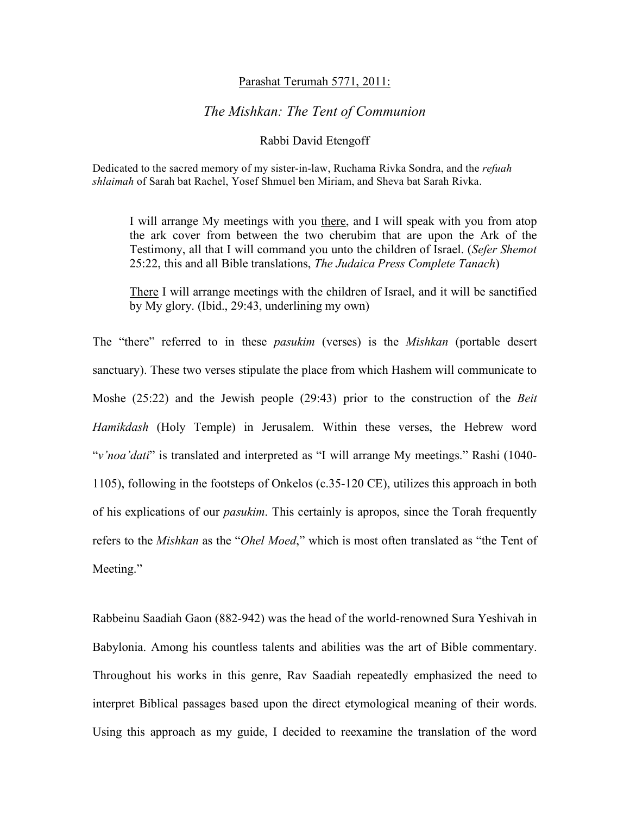## Parashat Terumah 5771, 2011:

## *The Mishkan: The Tent of Communion*

## Rabbi David Etengoff

Dedicated to the sacred memory of my sister-in-law, Ruchama Rivka Sondra, and the *refuah shlaimah* of Sarah bat Rachel, Yosef Shmuel ben Miriam, and Sheva bat Sarah Rivka.

I will arrange My meetings with you there, and I will speak with you from atop the ark cover from between the two cherubim that are upon the Ark of the Testimony, all that I will command you unto the children of Israel. (*Sefer Shemot*  25:22, this and all Bible translations, *The Judaica Press Complete Tanach*)

There I will arrange meetings with the children of Israel, and it will be sanctified by My glory. (Ibid., 29:43, underlining my own)

The "there" referred to in these *pasukim* (verses) is the *Mishkan* (portable desert sanctuary). These two verses stipulate the place from which Hashem will communicate to Moshe (25:22) and the Jewish people (29:43) prior to the construction of the *Beit Hamikdash* (Holy Temple) in Jerusalem. Within these verses, the Hebrew word "*v'noa'dati*" is translated and interpreted as "I will arrange My meetings." Rashi (1040- 1105), following in the footsteps of Onkelos (c.35-120 CE), utilizes this approach in both of his explications of our *pasukim*. This certainly is apropos, since the Torah frequently refers to the *Mishkan* as the "*Ohel Moed*," which is most often translated as "the Tent of Meeting."

Rabbeinu Saadiah Gaon (882-942) was the head of the world-renowned Sura Yeshivah in Babylonia. Among his countless talents and abilities was the art of Bible commentary. Throughout his works in this genre, Rav Saadiah repeatedly emphasized the need to interpret Biblical passages based upon the direct etymological meaning of their words. Using this approach as my guide, I decided to reexamine the translation of the word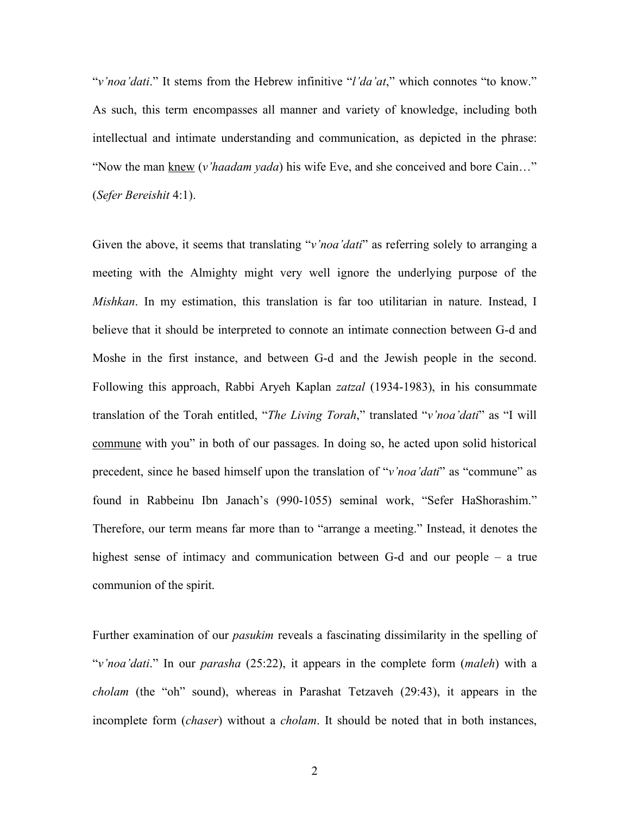"*v'noa'dati*." It stems from the Hebrew infinitive "*l'da'at*," which connotes "to know." As such, this term encompasses all manner and variety of knowledge, including both intellectual and intimate understanding and communication, as depicted in the phrase: "Now the man knew (*v'haadam yada*) his wife Eve, and she conceived and bore Cain…" (*Sefer Bereishit* 4:1).

Given the above, it seems that translating "*v'noa'dati*" as referring solely to arranging a meeting with the Almighty might very well ignore the underlying purpose of the *Mishkan*. In my estimation, this translation is far too utilitarian in nature. Instead, I believe that it should be interpreted to connote an intimate connection between G-d and Moshe in the first instance, and between G-d and the Jewish people in the second. Following this approach, Rabbi Aryeh Kaplan *zatzal* (1934-1983), in his consummate translation of the Torah entitled, "*The Living Torah*," translated "*v'noa'dati*" as "I will commune with you" in both of our passages. In doing so, he acted upon solid historical precedent, since he based himself upon the translation of "*v'noa'dati*" as "commune" as found in Rabbeinu Ibn Janach's (990-1055) seminal work, "Sefer HaShorashim." Therefore, our term means far more than to "arrange a meeting." Instead, it denotes the highest sense of intimacy and communication between G-d and our people – a true communion of the spirit.

Further examination of our *pasukim* reveals a fascinating dissimilarity in the spelling of "*v'noa'dati*." In our *parasha* (25:22), it appears in the complete form (*maleh*) with a *cholam* (the "oh" sound), whereas in Parashat Tetzaveh (29:43), it appears in the incomplete form (*chaser*) without a *cholam*. It should be noted that in both instances,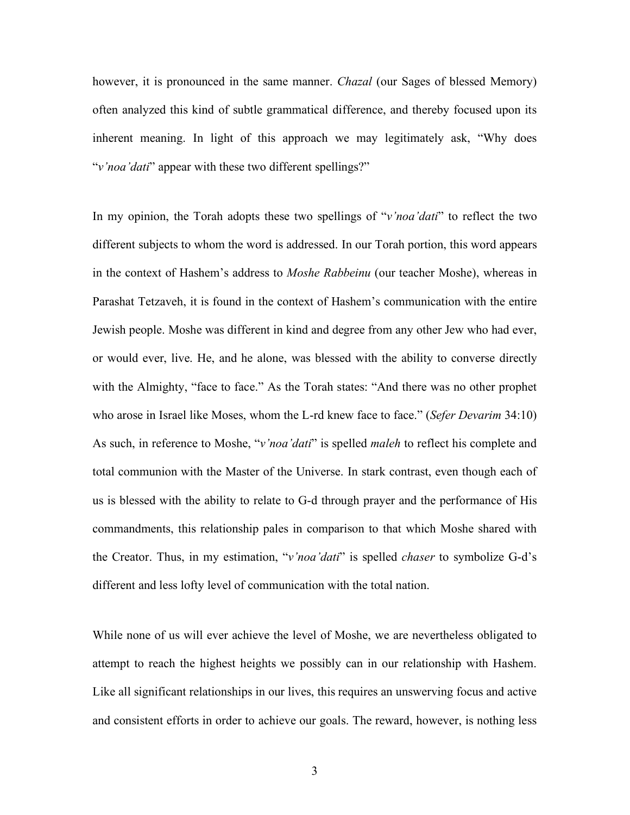however, it is pronounced in the same manner. *Chazal* (our Sages of blessed Memory) often analyzed this kind of subtle grammatical difference, and thereby focused upon its inherent meaning. In light of this approach we may legitimately ask, "Why does "*v'noa'dati*" appear with these two different spellings?"

In my opinion, the Torah adopts these two spellings of "*v'noa'dati*" to reflect the two different subjects to whom the word is addressed. In our Torah portion, this word appears in the context of Hashem's address to *Moshe Rabbeinu* (our teacher Moshe), whereas in Parashat Tetzaveh, it is found in the context of Hashem's communication with the entire Jewish people. Moshe was different in kind and degree from any other Jew who had ever, or would ever, live. He, and he alone, was blessed with the ability to converse directly with the Almighty, "face to face." As the Torah states: "And there was no other prophet who arose in Israel like Moses, whom the L-rd knew face to face." (*Sefer Devarim* 34:10) As such, in reference to Moshe, "*v'noa'dati*" is spelled *maleh* to reflect his complete and total communion with the Master of the Universe. In stark contrast, even though each of us is blessed with the ability to relate to G-d through prayer and the performance of His commandments, this relationship pales in comparison to that which Moshe shared with the Creator. Thus, in my estimation, "*v'noa'dati*" is spelled *chaser* to symbolize G-d's different and less lofty level of communication with the total nation.

While none of us will ever achieve the level of Moshe, we are nevertheless obligated to attempt to reach the highest heights we possibly can in our relationship with Hashem. Like all significant relationships in our lives, this requires an unswerving focus and active and consistent efforts in order to achieve our goals. The reward, however, is nothing less